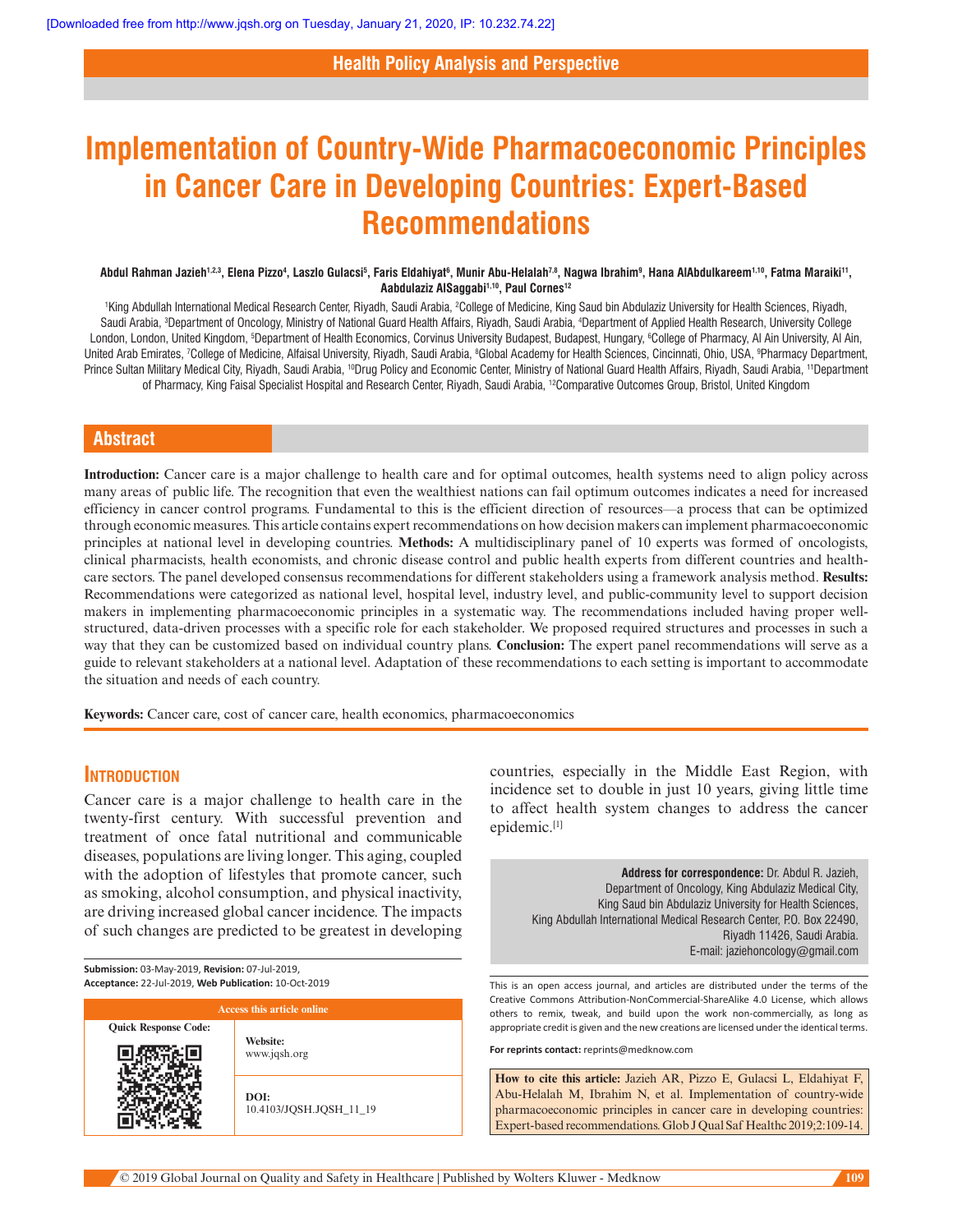# **Health Policy Analysis and Perspective**

# **Implementation of Country-Wide Pharmacoeconomic Principles in Cancer Care in Developing Countries: Expert-Based Recommendations**

#### Abdul Rahman Jazieh<sup>1,2,3</sup>, Elena Pizzo<sup>4</sup>, Laszlo Gulacsi<sup>5</sup>, Faris Eldahiyat<sup>6</sup>, Munir Abu-Helalah<sup>7,8</sup>, Nagwa Ibrahim<sup>9</sup>, Hana AlAbdulkareem<sup>1,10</sup>, Fatma Maraiki<sup>11</sup>, Aabdulaziz AlSaggabi<sup>1,10</sup>, Paul Cornes<sup>12</sup>

<sup>1</sup>King Abdullah International Medical Research Center, Riyadh, Saudi Arabia, <sup>2</sup>College of Medicine, King Saud bin Abdulaziz University for Health Sciences, Riyadh, Saudi Arabia, <sup>s</sup>Department of Oncology, Ministry of National Guard Health Affairs, Riyadh, Saudi Arabia, <sup>4</sup>Department of Applied Health Research, University College London, London, United Kingdom, <sup>s</sup>Department of Health Economics, Corvinus University Budapest, Budapest, Hungary, <sup>6</sup>College of Pharmacy, Al Ain University, Al Ain, United Arab Emirates, 'College of Medicine, Alfaisal University, Riyadh, Saudi Arabia, <sup>8</sup>Global Academy for Health Sciences, Cincinnati, Ohio, USA, <sup>9</sup>Pharmacy Department, Prince Sultan Military Medical City, Riyadh, Saudi Arabia, <sup>10</sup>Drug Policy and Economic Center, Ministry of National Guard Health Affairs, Riyadh, Saudi Arabia, <sup>11</sup>Department of Pharmacy, King Faisal Specialist Hospital and Research Center, Riyadh, Saudi Arabia, <sup>12</sup>Comparative Outcomes Group, Bristol, United Kingdom

# **Abstract**

**Introduction:** Cancer care is a major challenge to health care and for optimal outcomes, health systems need to align policy across many areas of public life. The recognition that even the wealthiest nations can fail optimum outcomes indicates a need for increased efficiency in cancer control programs. Fundamental to this is the efficient direction of resources––a process that can be optimized through economic measures. This article contains expert recommendations on how decision makers can implement pharmacoeconomic principles at national level in developing countries. **Methods:** A multidisciplinary panel of 10 experts was formed of oncologists, clinical pharmacists, health economists, and chronic disease control and public health experts from different countries and healthcare sectors. The panel developed consensus recommendations for different stakeholders using a framework analysis method. **Results:** Recommendations were categorized as national level, hospital level, industry level, and public-community level to support decision makers in implementing pharmacoeconomic principles in a systematic way. The recommendations included having proper wellstructured, data-driven processes with a specific role for each stakeholder. We proposed required structures and processes in such a way that they can be customized based on individual country plans. **Conclusion:** The expert panel recommendations will serve as a guide to relevant stakeholders at a national level. Adaptation of these recommendations to each setting is important to accommodate the situation and needs of each country.

**Keywords:** Cancer care, cost of cancer care, health economics, pharmacoeconomics

# **Introduction**

Cancer care is a major challenge to health care in the twenty-first century. With successful prevention and treatment of once fatal nutritional and communicable diseases, populations are living longer. This aging, coupled with the adoption of lifestyles that promote cancer, such as smoking, alcohol consumption, and physical inactivity, are driving increased global cancer incidence. The impacts of such changes are predicted to be greatest in developing

**Submission:** 03-May-2019, **Revision:** 07-Jul-2019, **Acceptance:** 22-Jul-2019, **Web Publication:** 10-Oct-2019

| <b>Access this article online</b> |                                 |
|-----------------------------------|---------------------------------|
| <b>Quick Response Code:</b>       |                                 |
|                                   | Website:<br>www.jqsh.org        |
|                                   | DOI:<br>10.4103/JQSH.JQSH_11_19 |

countries, especially in the Middle East Region, with incidence set to double in just 10 years, giving little time to affect health system changes to address the cancer epidemic.[1]

> **Address for correspondence:** Dr. Abdul R. Jazieh, Department of Oncology, King Abdulaziz Medical City, King Saud bin Abdulaziz University for Health Sciences, King Abdullah International Medical Research Center, P.O. Box 22490, Riyadh 11426, Saudi Arabia. E-mail: jaziehoncology@gmail.com

This is an open access journal, and articles are distributed under the terms of the Creative Commons Attribution-NonCommercial-ShareAlike 4.0 License, which allows others to remix, tweak, and build upon the work non-commercially, as long as appropriate credit is given and the new creations are licensed under the identical terms.

**For reprints contact:** reprints@medknow.com

**How to cite this article:** Jazieh AR, Pizzo E, Gulacsi L, Eldahiyat F, Abu-Helalah M, Ibrahim N, et al. Implementation of country-wide pharmacoeconomic principles in cancer care in developing countries: Expert-based recommendations. Glob J Qual Saf Healthc 2019;2:109-14.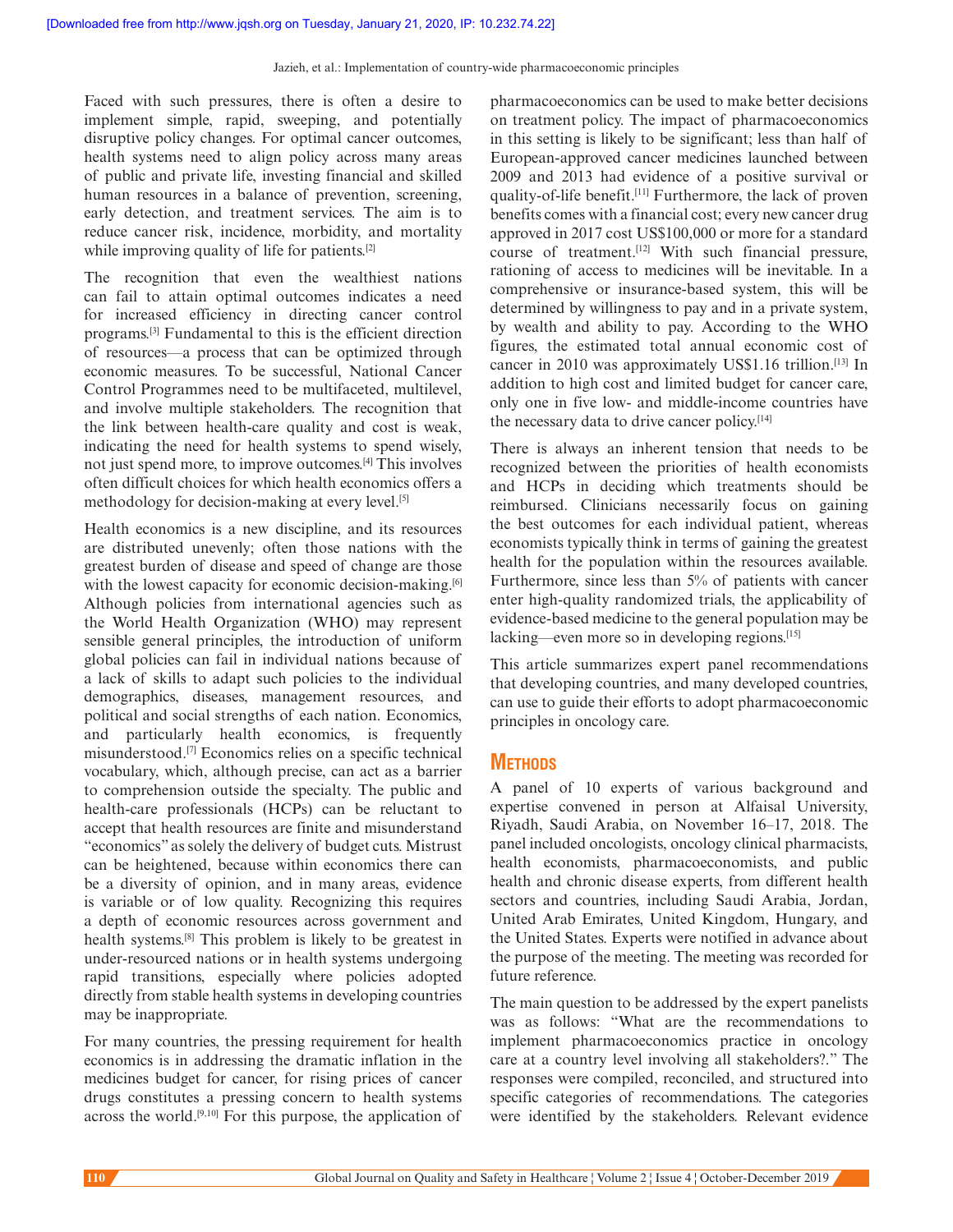Faced with such pressures, there is often a desire to implement simple, rapid, sweeping, and potentially disruptive policy changes. For optimal cancer outcomes, health systems need to align policy across many areas of public and private life, investing financial and skilled human resources in a balance of prevention, screening, early detection, and treatment services. The aim is to reduce cancer risk, incidence, morbidity, and mortality while improving quality of life for patients.<sup>[2]</sup>

The recognition that even the wealthiest nations can fail to attain optimal outcomes indicates a need for increased efficiency in directing cancer control programs.[3] Fundamental to this is the efficient direction of resources––a process that can be optimized through economic measures. To be successful, National Cancer Control Programmes need to be multifaceted, multilevel, and involve multiple stakeholders. The recognition that the link between health-care quality and cost is weak, indicating the need for health systems to spend wisely, not just spend more, to improve outcomes.[4] This involves often difficult choices for which health economics offers a methodology for decision-making at every level.[5]

Health economics is a new discipline, and its resources are distributed unevenly; often those nations with the greatest burden of disease and speed of change are those with the lowest capacity for economic decision-making.<sup>[6]</sup> Although policies from international agencies such as the World Health Organization (WHO) may represent sensible general principles, the introduction of uniform global policies can fail in individual nations because of a lack of skills to adapt such policies to the individual demographics, diseases, management resources, and political and social strengths of each nation. Economics, and particularly health economics, is frequently misunderstood.[7] Economics relies on a specific technical vocabulary, which, although precise, can act as a barrier to comprehension outside the specialty. The public and health-care professionals (HCPs) can be reluctant to accept that health resources are finite and misunderstand "economics" as solely the delivery of budget cuts. Mistrust can be heightened, because within economics there can be a diversity of opinion, and in many areas, evidence is variable or of low quality. Recognizing this requires a depth of economic resources across government and health systems.<sup>[8]</sup> This problem is likely to be greatest in under-resourced nations or in health systems undergoing rapid transitions, especially where policies adopted directly from stable health systems in developing countries may be inappropriate.

For many countries, the pressing requirement for health economics is in addressing the dramatic inflation in the medicines budget for cancer, for rising prices of cancer drugs constitutes a pressing concern to health systems across the world.[9,10] For this purpose, the application of pharmacoeconomics can be used to make better decisions on treatment policy. The impact of pharmacoeconomics in this setting is likely to be significant; less than half of European-approved cancer medicines launched between 2009 and 2013 had evidence of a positive survival or quality-of-life benefit.[11] Furthermore, the lack of proven benefits comes with a financial cost; every new cancer drug approved in 2017 cost US\$100,000 or more for a standard course of treatment.[12] With such financial pressure, rationing of access to medicines will be inevitable. In a comprehensive or insurance-based system, this will be determined by willingness to pay and in a private system, by wealth and ability to pay. According to the WHO figures, the estimated total annual economic cost of cancer in 2010 was approximately US\$1.16 trillion.[13] In addition to high cost and limited budget for cancer care, only one in five low- and middle-income countries have the necessary data to drive cancer policy.[14]

There is always an inherent tension that needs to be recognized between the priorities of health economists and HCPs in deciding which treatments should be reimbursed. Clinicians necessarily focus on gaining the best outcomes for each individual patient, whereas economists typically think in terms of gaining the greatest health for the population within the resources available. Furthermore, since less than 5% of patients with cancer enter high-quality randomized trials, the applicability of evidence-based medicine to the general population may be lacking—even more so in developing regions.<sup>[15]</sup>

This article summarizes expert panel recommendations that developing countries, and many developed countries, can use to guide their efforts to adopt pharmacoeconomic principles in oncology care.

# **Methods**

A panel of 10 experts of various background and expertise convened in person at Alfaisal University, Riyadh, Saudi Arabia, on November 16–17, 2018. The panel included oncologists, oncology clinical pharmacists, health economists, pharmacoeconomists, and public health and chronic disease experts, from different health sectors and countries, including Saudi Arabia, Jordan, United Arab Emirates, United Kingdom, Hungary, and the United States. Experts were notified in advance about the purpose of the meeting. The meeting was recorded for future reference.

The main question to be addressed by the expert panelists was as follows: "What are the recommendations to implement pharmacoeconomics practice in oncology care at a country level involving all stakeholders?." The responses were compiled, reconciled, and structured into specific categories of recommendations. The categories were identified by the stakeholders. Relevant evidence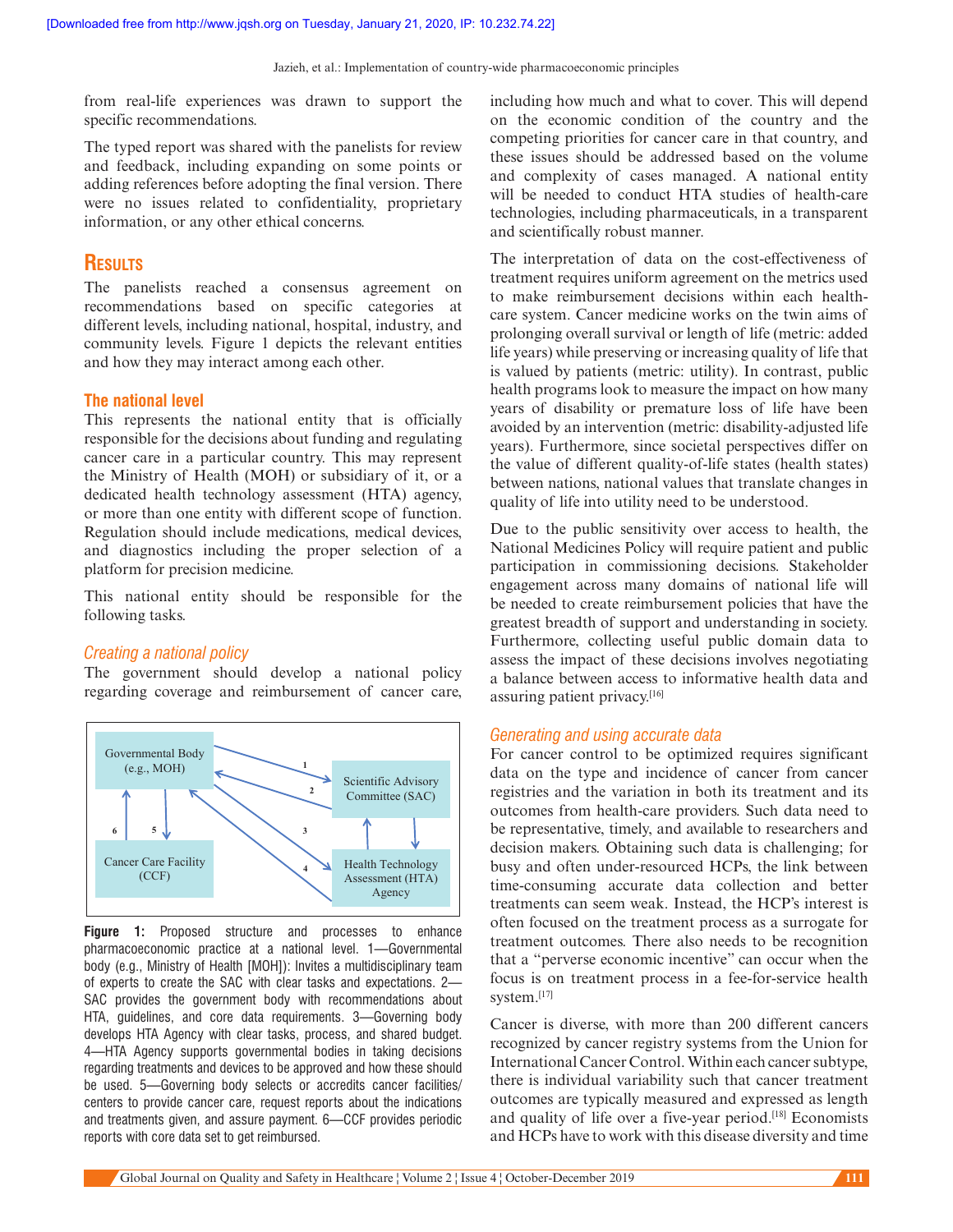Jazieh, et al.: Implementation of country-wide pharmacoeconomic principles

from real-life experiences was drawn to support the specific recommendations.

The typed report was shared with the panelists for review and feedback, including expanding on some points or adding references before adopting the final version. There were no issues related to confidentiality, proprietary information, or any other ethical concerns.

# **Results**

The panelists reached a consensus agreement on recommendations based on specific categories at different levels, including national, hospital, industry, and community levels. Figure 1 depicts the relevant entities and how they may interact among each other.

#### **The national level**

This represents the national entity that is officially responsible for the decisions about funding and regulating cancer care in a particular country. This may represent the Ministry of Health (MOH) or subsidiary of it, or a dedicated health technology assessment (HTA) agency, or more than one entity with different scope of function. Regulation should include medications, medical devices, and diagnostics including the proper selection of a platform for precision medicine.

This national entity should be responsible for the following tasks.

#### *Creating a national policy*

The government should develop a national policy regarding coverage and reimbursement of cancer care,



**Figure 1:** Proposed structure and processes to enhance pharmacoeconomic practice at a national level. 1—Governmental body (e.g., Ministry of Health [MOH]): Invites a multidisciplinary team of experts to create the SAC with clear tasks and expectations. 2— SAC provides the government body with recommendations about HTA, guidelines, and core data requirements. 3—Governing body develops HTA Agency with clear tasks, process, and shared budget. 4—HTA Agency supports governmental bodies in taking decisions regarding treatments and devices to be approved and how these should be used. 5—Governing body selects or accredits cancer facilities/ centers to provide cancer care, request reports about the indications and treatments given, and assure payment. 6—CCF provides periodic reports with core data set to get reimbursed.

including how much and what to cover. This will depend on the economic condition of the country and the competing priorities for cancer care in that country, and these issues should be addressed based on the volume and complexity of cases managed. A national entity will be needed to conduct HTA studies of health-care technologies, including pharmaceuticals, in a transparent and scientifically robust manner.

The interpretation of data on the cost-effectiveness of treatment requires uniform agreement on the metrics used to make reimbursement decisions within each healthcare system. Cancer medicine works on the twin aims of prolonging overall survival or length of life (metric: added life years) while preserving or increasing quality of life that is valued by patients (metric: utility). In contrast, public health programs look to measure the impact on how many years of disability or premature loss of life have been avoided by an intervention (metric: disability-adjusted life years). Furthermore, since societal perspectives differ on the value of different quality-of-life states (health states) between nations, national values that translate changes in quality of life into utility need to be understood.

Due to the public sensitivity over access to health, the National Medicines Policy will require patient and public participation in commissioning decisions. Stakeholder engagement across many domains of national life will be needed to create reimbursement policies that have the greatest breadth of support and understanding in society. Furthermore, collecting useful public domain data to assess the impact of these decisions involves negotiating a balance between access to informative health data and assuring patient privacy.[16]

#### *Generating and using accurate data*

For cancer control to be optimized requires significant data on the type and incidence of cancer from cancer registries and the variation in both its treatment and its outcomes from health-care providers. Such data need to be representative, timely, and available to researchers and decision makers. Obtaining such data is challenging; for busy and often under-resourced HCPs, the link between time-consuming accurate data collection and better treatments can seem weak. Instead, the HCP's interest is often focused on the treatment process as a surrogate for treatment outcomes. There also needs to be recognition that a "perverse economic incentive" can occur when the focus is on treatment process in a fee-for-service health system.[17]

Cancer is diverse, with more than 200 different cancers recognized by cancer registry systems from the Union for International Cancer Control. Within each cancer subtype, there is individual variability such that cancer treatment outcomes are typically measured and expressed as length and quality of life over a five-year period.<sup>[18]</sup> Economists and HCPs have to work with this disease diversity and time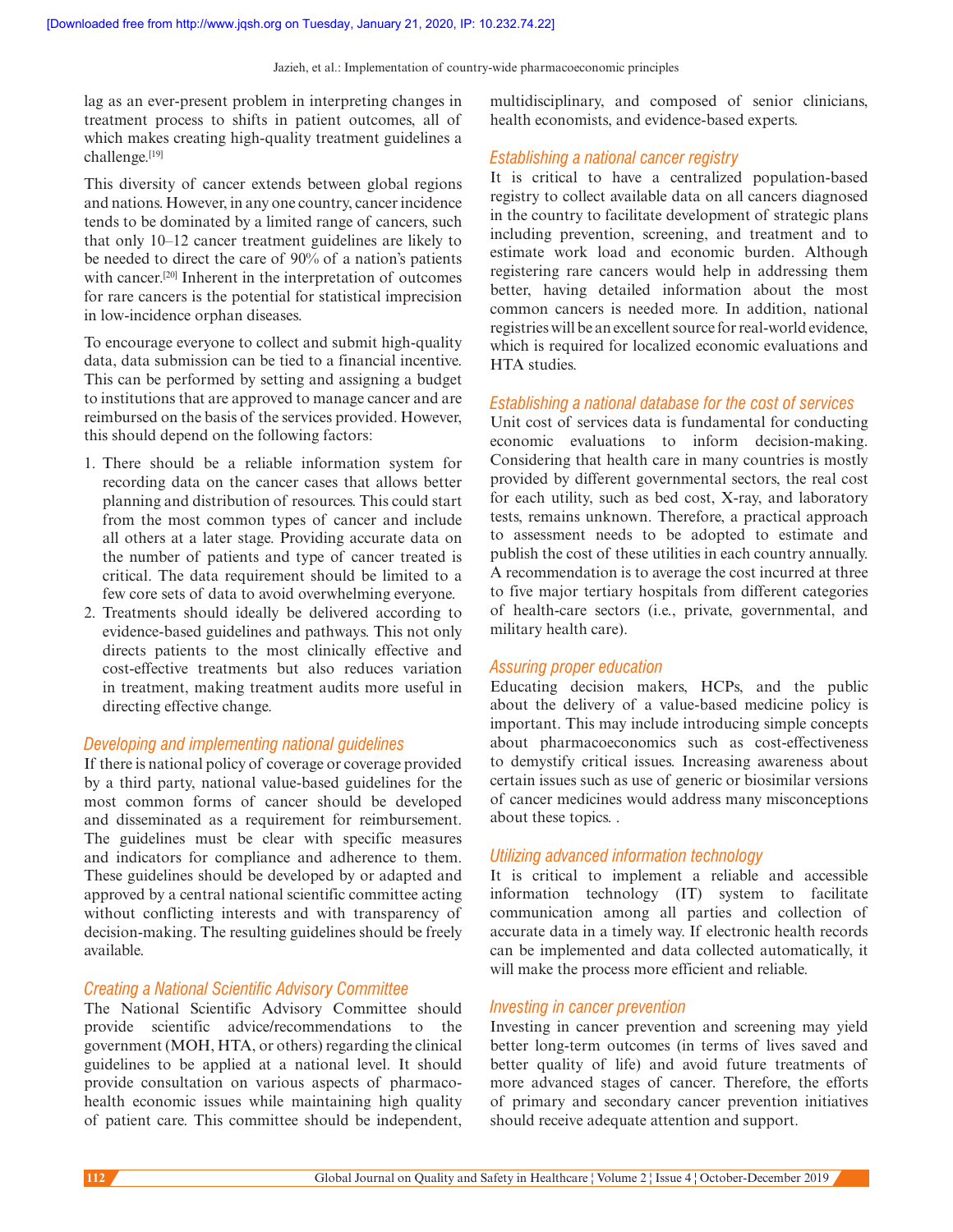lag as an ever-present problem in interpreting changes in treatment process to shifts in patient outcomes, all of which makes creating high-quality treatment guidelines a challenge.[19]

This diversity of cancer extends between global regions and nations. However, in any one country, cancer incidence tends to be dominated by a limited range of cancers, such that only 10–12 cancer treatment guidelines are likely to be needed to direct the care of 90% of a nation's patients with cancer.<sup>[20]</sup> Inherent in the interpretation of outcomes for rare cancers is the potential for statistical imprecision in low-incidence orphan diseases.

To encourage everyone to collect and submit high-quality data, data submission can be tied to a financial incentive. This can be performed by setting and assigning a budget to institutions that are approved to manage cancer and are reimbursed on the basis of the services provided. However, this should depend on the following factors:

- 1. There should be a reliable information system for recording data on the cancer cases that allows better planning and distribution of resources. This could start from the most common types of cancer and include all others at a later stage. Providing accurate data on the number of patients and type of cancer treated is critical. The data requirement should be limited to a few core sets of data to avoid overwhelming everyone.
- 2. Treatments should ideally be delivered according to evidence-based guidelines and pathways. This not only directs patients to the most clinically effective and cost-effective treatments but also reduces variation in treatment, making treatment audits more useful in directing effective change.

## *Developing and implementing national guidelines*

If there is national policy of coverage or coverage provided by a third party, national value-based guidelines for the most common forms of cancer should be developed and disseminated as a requirement for reimbursement. The guidelines must be clear with specific measures and indicators for compliance and adherence to them. These guidelines should be developed by or adapted and approved by a central national scientific committee acting without conflicting interests and with transparency of decision-making. The resulting guidelines should be freely available.

#### *Creating a National Scientific Advisory Committee*

The National Scientific Advisory Committee should provide scientific advice/recommendations to the government (MOH, HTA, or others) regarding the clinical guidelines to be applied at a national level. It should provide consultation on various aspects of pharmacohealth economic issues while maintaining high quality of patient care. This committee should be independent,

multidisciplinary, and composed of senior clinicians, health economists, and evidence-based experts.

#### *Establishing a national cancer registry*

It is critical to have a centralized population-based registry to collect available data on all cancers diagnosed in the country to facilitate development of strategic plans including prevention, screening, and treatment and to estimate work load and economic burden. Although registering rare cancers would help in addressing them better, having detailed information about the most common cancers is needed more. In addition, national registries will be an excellent source for real-world evidence, which is required for localized economic evaluations and HTA studies.

#### *Establishing a national database for the cost of services*

Unit cost of services data is fundamental for conducting economic evaluations to inform decision-making. Considering that health care in many countries is mostly provided by different governmental sectors, the real cost for each utility, such as bed cost, X-ray, and laboratory tests, remains unknown. Therefore, a practical approach to assessment needs to be adopted to estimate and publish the cost of these utilities in each country annually. A recommendation is to average the cost incurred at three to five major tertiary hospitals from different categories of health-care sectors (i.e., private, governmental, and military health care).

#### *Assuring proper education*

Educating decision makers, HCPs, and the public about the delivery of a value-based medicine policy is important. This may include introducing simple concepts about pharmacoeconomics such as cost-effectiveness to demystify critical issues. Increasing awareness about certain issues such as use of generic or biosimilar versions of cancer medicines would address many misconceptions about these topics. .

#### *Utilizing advanced information technology*

It is critical to implement a reliable and accessible information technology (IT) system to facilitate communication among all parties and collection of accurate data in a timely way. If electronic health records can be implemented and data collected automatically, it will make the process more efficient and reliable.

#### *Investing in cancer prevention*

Investing in cancer prevention and screening may yield better long-term outcomes (in terms of lives saved and better quality of life) and avoid future treatments of more advanced stages of cancer. Therefore, the efforts of primary and secondary cancer prevention initiatives should receive adequate attention and support.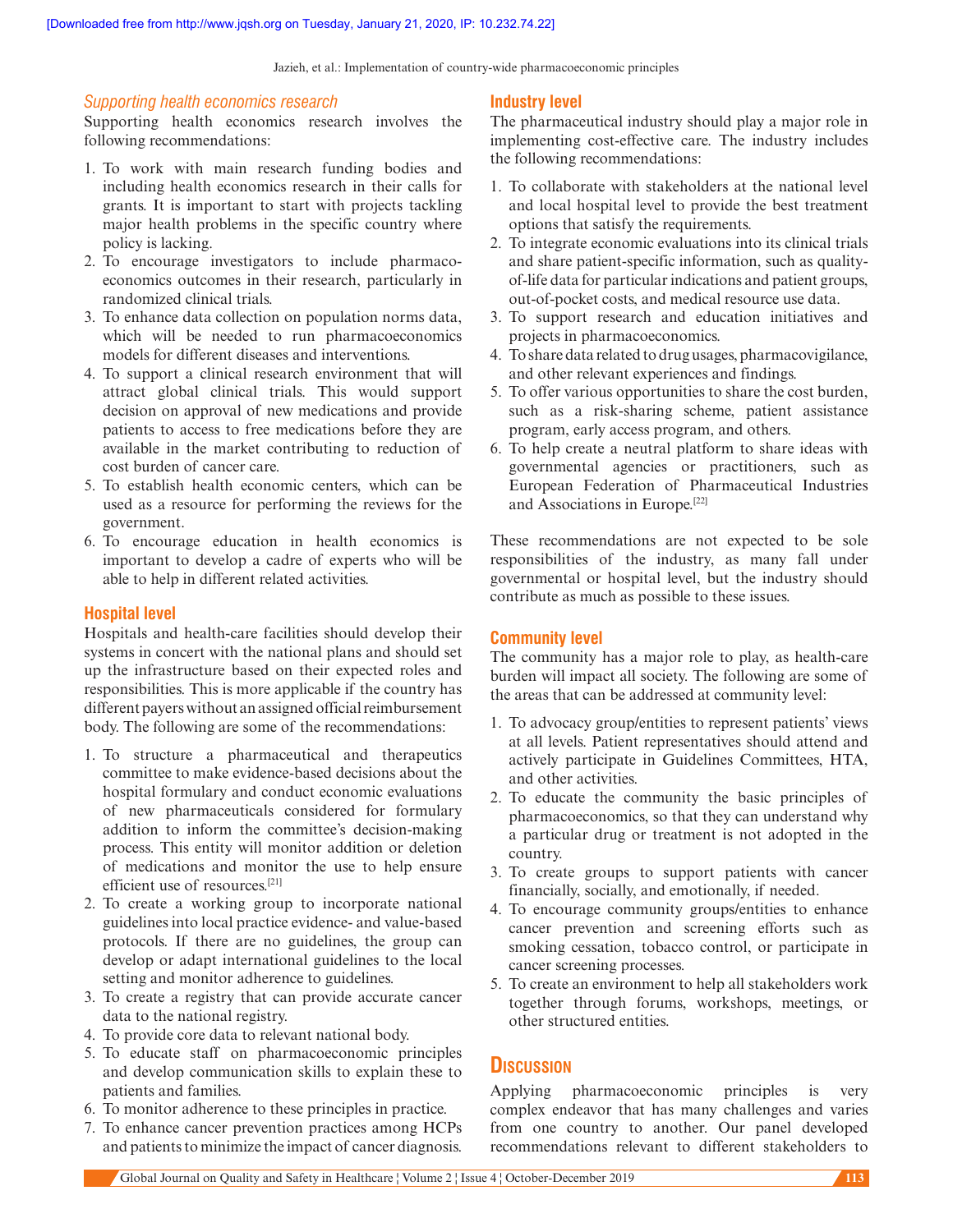Jazieh, et al.: Implementation of country-wide pharmacoeconomic principles

#### *Supporting health economics research*

Supporting health economics research involves the following recommendations:

- 1. To work with main research funding bodies and including health economics research in their calls for grants. It is important to start with projects tackling major health problems in the specific country where policy is lacking.
- 2. To encourage investigators to include pharmacoeconomics outcomes in their research, particularly in randomized clinical trials.
- 3. To enhance data collection on population norms data, which will be needed to run pharmacoeconomics models for different diseases and interventions.
- 4. To support a clinical research environment that will attract global clinical trials. This would support decision on approval of new medications and provide patients to access to free medications before they are available in the market contributing to reduction of cost burden of cancer care.
- 5. To establish health economic centers, which can be used as a resource for performing the reviews for the government.
- 6. To encourage education in health economics is important to develop a cadre of experts who will be able to help in different related activities.

### **Hospital level**

Hospitals and health-care facilities should develop their systems in concert with the national plans and should set up the infrastructure based on their expected roles and responsibilities. This is more applicable if the country has different payers without an assigned official reimbursement body. The following are some of the recommendations:

- 1. To structure a pharmaceutical and therapeutics committee to make evidence-based decisions about the hospital formulary and conduct economic evaluations of new pharmaceuticals considered for formulary addition to inform the committee's decision-making process. This entity will monitor addition or deletion of medications and monitor the use to help ensure efficient use of resources<sup>[21]</sup>
- 2. To create a working group to incorporate national guidelines into local practice evidence- and value-based protocols. If there are no guidelines, the group can develop or adapt international guidelines to the local setting and monitor adherence to guidelines.
- 3. To create a registry that can provide accurate cancer data to the national registry.
- 4. To provide core data to relevant national body.
- 5. To educate staff on pharmacoeconomic principles and develop communication skills to explain these to patients and families.
- 6. To monitor adherence to these principles in practice.
- 7. To enhance cancer prevention practices among HCPs and patients to minimize the impact of cancer diagnosis.

# **Industry level**

The pharmaceutical industry should play a major role in implementing cost-effective care. The industry includes the following recommendations:

- 1. To collaborate with stakeholders at the national level and local hospital level to provide the best treatment options that satisfy the requirements.
- 2. To integrate economic evaluations into its clinical trials and share patient-specific information, such as qualityof-life data for particular indications and patient groups, out-of-pocket costs, and medical resource use data.
- 3. To support research and education initiatives and projects in pharmacoeconomics.
- 4. To share data related to drug usages, pharmacovigilance, and other relevant experiences and findings.
- 5. To offer various opportunities to share the cost burden, such as a risk-sharing scheme, patient assistance program, early access program, and others.
- 6. To help create a neutral platform to share ideas with governmental agencies or practitioners, such as European Federation of Pharmaceutical Industries and Associations in Europe.[22]

These recommendations are not expected to be sole responsibilities of the industry, as many fall under governmental or hospital level, but the industry should contribute as much as possible to these issues.

#### **Community level**

The community has a major role to play, as health-care burden will impact all society. The following are some of the areas that can be addressed at community level:

- 1. To advocacy group/entities to represent patients' views at all levels. Patient representatives should attend and actively participate in Guidelines Committees, HTA, and other activities.
- 2. To educate the community the basic principles of pharmacoeconomics, so that they can understand why a particular drug or treatment is not adopted in the country.
- 3. To create groups to support patients with cancer financially, socially, and emotionally, if needed.
- 4. To encourage community groups/entities to enhance cancer prevention and screening efforts such as smoking cessation, tobacco control, or participate in cancer screening processes.
- 5. To create an environment to help all stakeholders work together through forums, workshops, meetings, or other structured entities.

# **Discussion**

Applying pharmacoeconomic principles is very complex endeavor that has many challenges and varies from one country to another. Our panel developed recommendations relevant to different stakeholders to